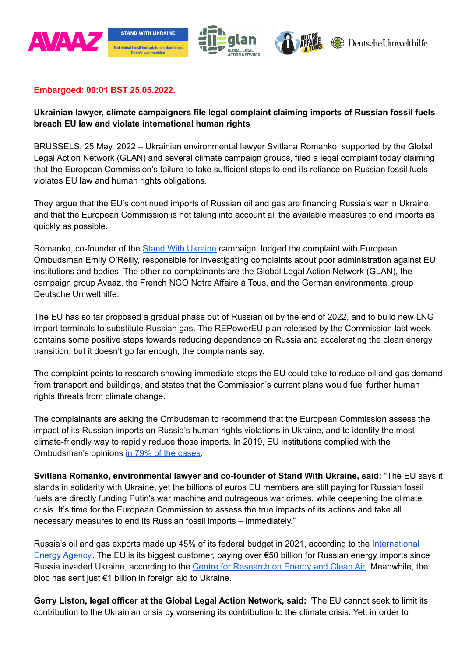

## **Embargoed: 00:01 BST 25.05.2022.**

# **Ukrainian lawyer, climate campaigners file legal complaint claiming imports of Russian fossil fuels breach EU law and violate international human rights**

BRUSSELS, 25 May, 2022 – Ukrainian environmental lawyer Svitlana Romanko, supported by the Global Legal Action Network (GLAN) and several climate campaign groups, filed a legal complaint today claiming that the European Commission's failure to take sufficient steps to end its reliance on Russian fossil fuels violates EU law and human rights obligations.

They argue that the EU's continued imports of Russian oil and gas are financing Russia's war in Ukraine, and that the European Commission is not taking into account all the available measures to end imports as quickly as possible.

Romanko, co-founder of the Stand With [Ukraine](https://standwithukraine.live/) campaign, lodged the complaint with European Ombudsman Emily O'Reilly, responsible for investigating complaints about poor administration against EU institutions and bodies. The other co-complainants are the Global Legal Action Network (GLAN), the campaign group Avaaz, the French NGO Notre Affaire à Tous, and the German environmental group Deutsche Umwelthilfe.

The EU has so far proposed a gradual phase out of Russian oil by the end of 2022, and to build new LNG import terminals to substitute Russian gas. The REPowerEU plan released by the Commission last week contains some positive steps towards reducing dependence on Russia and accelerating the clean energy transition, but it doesn't go far enough, the complainants say.

The complaint points to research showing immediate steps the EU could take to reduce oil and gas demand from transport and buildings, and states that the Commission's current plans would fuel further human rights threats from climate change.

The complainants are asking the Ombudsman to recommend that the European Commission assess the impact of its Russian imports on Russia's human rights violations in Ukraine, and to identify the most climate-friendly way to rapidly reduce those imports. In 2019, EU institutions complied with the Ombudsman's opinions in 79% of the [cases](https://www.ombudsman.europa.eu/en/doc/aar/en/143663).

**Svitlana Romanko, environmental lawyer and co-founder of Stand With Ukraine, said:** "The EU says it stands in solidarity with Ukraine, yet the billions of euros EU members are still paying for Russian fossil fuels are directly funding Putin's war machine and outrageous war crimes, while deepening the climate crisis. It's time for the European Commission to assess the true impacts of its actions and take all necessary measures to end its Russian fossil imports – immediately."

Russia's oil and gas exports made up 45% of its federal budget in 2021, according to the [International](https://www.iea.org/articles/energy-fact-sheet-why-does-russian-oil-and-gas-matter) Energy [Agency](https://www.iea.org/articles/energy-fact-sheet-why-does-russian-oil-and-gas-matter). The EU is its biggest customer, paying over €50 billion for Russian energy imports since Russia invaded Ukraine, according to the Centre for [Research](https://energyandcleanair.org/financing-putins-war/) on Energy and Clean Air. Meanwhile, the bloc has sent just €1 billion in foreign aid to Ukraine.

**Gerry Liston, legal officer at the Global Legal Action Network, said:** "The EU cannot seek to limit its contribution to the Ukrainian crisis by worsening its contribution to the climate crisis. Yet, in order to